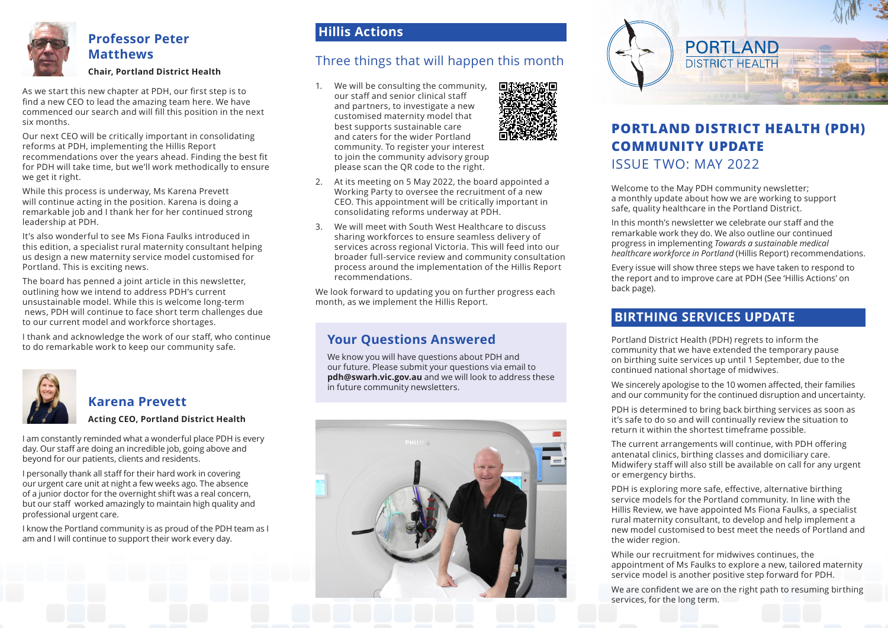

# **Professor Peter Matthews**

### **Chair, Portland District Health**

As we start this new chapter at PDH, our first step is to find a new CEO to lead the amazing team here. We have commenced our search and will fill this position in the next six months.

Our next CEO will be critically important in consolidating reforms at PDH, implementing the Hillis Report recommendations over the years ahead. Finding the best fit for PDH will take time, but we'll work methodically to ensure we get it right.

While this process is underway, Ms Karena Prevett will continue acting in the position. Karena is doing a remarkable job and I thank her for her continued strong leadership at PDH.

It's also wonderful to see Ms Fiona Faulks introduced in this edition, a specialist rural maternity consultant helping us design a new maternity service model customised for Portland. This is exciting news.

The board has penned a joint article in this newsletter, outlining how we intend to address PDH's current unsustainable model. While this is welcome long-term news, PDH will continue to face short term challenges due to our current model and workforce shortages.

I thank and acknowledge the work of our staff, who continue to do remarkable work to keep our community safe.



### **Karena Prevett Acting CEO, Portland District Health**

I am constantly reminded what a wonderful place PDH is every

day. Our staff are doing an incredible job, going above and beyond for our patients, clients and residents.

I personally thank all staff for their hard work in covering our urgent care unit at night a few weeks ago. The absence of a junior doctor for the overnight shift was a real concern, but our staff worked amazingly to maintain high quality and professional urgent care.

I know the Portland community is as proud of the PDH team as I am and I will continue to support their work every day.

### **Hillis Actions**

## Three things that will happen this month

1. We will be consulting the community, our staff and senior clinical staff and partners, to investigate a new customised maternity model that best supports sustainable care and caters for the wider Portland community. To register your interest to join the community advisory group please scan the QR code to the right.



- 2. At its meeting on 5 May 2022, the board appointed a Working Party to oversee the recruitment of a new CEO. This appointment will be critically important in consolidating reforms underway at PDH.
- 3. We will meet with South West Healthcare to discuss sharing workforces to ensure seamless delivery of services across regional Victoria. This will feed into our broader full-service review and community consultation process around the implementation of the Hillis Report recommendations.

We look forward to updating you on further progress each month, as we implement the Hillis Report.

## **Your Questions Answered**

We know you will have questions about PDH and our future. Please submit your questions via email to **pdh@swarh.vic.gov.au** and we will look to address these in future community newsletters.





# **PORTLAND DISTRICT HEALTH (PDH) COMMUNITY UPDATE** ISSUE TWO: MAY 2022

Welcome to the May PDH community newsletter; a monthly update about how we are working to support safe, quality healthcare in the Portland District.

In this month's newsletter we celebrate our staff and the remarkable work they do. We also outline our continued progress in implementing *Towards a sustainable medical healthcare workforce in Portland* (Hillis Report) recommendations.

Every issue will show three steps we have taken to respond to the report and to improve care at PDH (See 'Hillis Actions' on back page).

### **BIRTHING SERVICES UPDATE**

Portland District Health (PDH) regrets to inform the community that we have extended the temporary pause on birthing suite services up until 1 September, due to the continued national shortage of midwives.

We sincerely apologise to the 10 women affected, their families and our community for the continued disruption and uncertainty.

PDH is determined to bring back birthing services as soon as it's safe to do so and will continually review the situation to return it within the shortest timeframe possible.

The current arrangements will continue, with PDH offering antenatal clinics, birthing classes and domiciliary care. Midwifery staff will also still be available on call for any urgent or emergency births.

PDH is exploring more safe, effective, alternative birthing service models for the Portland community. In line with the Hillis Review, we have appointed Ms Fiona Faulks, a specialist rural maternity consultant, to develop and help implement a new model customised to best meet the needs of Portland and the wider region.

While our recruitment for midwives continues, the appointment of Ms Faulks to explore a new, tailored maternity service model is another positive step forward for PDH.

We are confident we are on the right path to resuming birthing services, for the long term.